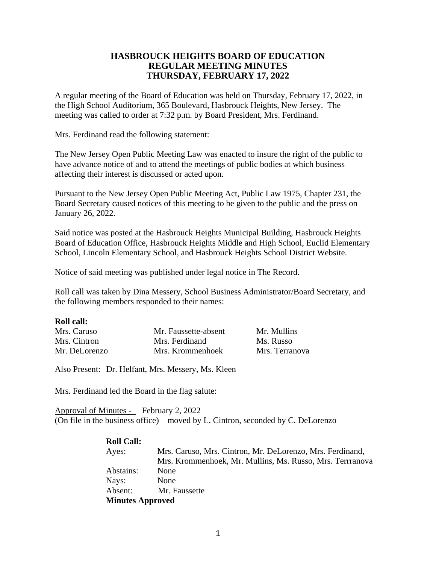# **HASBROUCK HEIGHTS BOARD OF EDUCATION REGULAR MEETING MINUTES THURSDAY, FEBRUARY 17, 2022**

A regular meeting of the Board of Education was held on Thursday, February 17, 2022, in the High School Auditorium, 365 Boulevard, Hasbrouck Heights, New Jersey. The meeting was called to order at 7:32 p.m. by Board President, Mrs. Ferdinand.

Mrs. Ferdinand read the following statement:

The New Jersey Open Public Meeting Law was enacted to insure the right of the public to have advance notice of and to attend the meetings of public bodies at which business affecting their interest is discussed or acted upon.

Pursuant to the New Jersey Open Public Meeting Act, Public Law 1975, Chapter 231, the Board Secretary caused notices of this meeting to be given to the public and the press on January 26, 2022.

Said notice was posted at the Hasbrouck Heights Municipal Building, Hasbrouck Heights Board of Education Office, Hasbrouck Heights Middle and High School, Euclid Elementary School, Lincoln Elementary School, and Hasbrouck Heights School District Website.

Notice of said meeting was published under legal notice in The Record.

Roll call was taken by Dina Messery, School Business Administrator/Board Secretary, and the following members responded to their names:

#### **Roll call:**

| Mrs. Caruso   | Mr. Faussette-absent | Mr. Mullins    |
|---------------|----------------------|----------------|
| Mrs. Cintron  | Mrs. Ferdinand       | Ms. Russo      |
| Mr. DeLorenzo | Mrs. Krommenhoek     | Mrs. Terranova |

Also Present: Dr. Helfant, Mrs. Messery, Ms. Kleen

Mrs. Ferdinand led the Board in the flag salute:

Approval of Minutes - February 2, 2022 (On file in the business office) – moved by L. Cintron, seconded by C. DeLorenzo

#### **Roll Call:**

| Ayes:                   | Mrs. Caruso, Mrs. Cintron, Mr. DeLorenzo, Mrs. Ferdinand, |  |
|-------------------------|-----------------------------------------------------------|--|
|                         | Mrs. Krommenhoek, Mr. Mullins, Ms. Russo, Mrs. Terrranova |  |
| Abstains:               | <b>None</b>                                               |  |
| Nays:                   | None                                                      |  |
| Absent:                 | Mr. Faussette                                             |  |
| <b>Minutes Approved</b> |                                                           |  |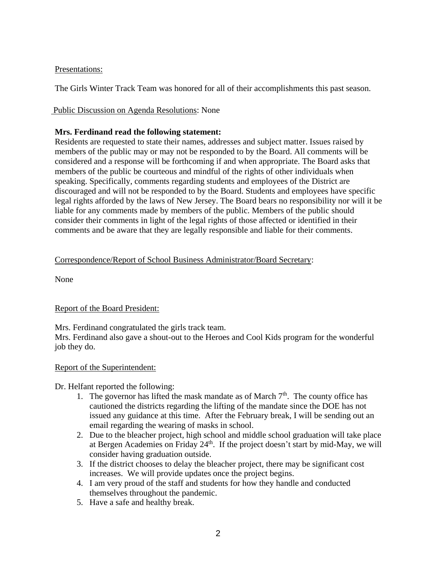## Presentations:

The Girls Winter Track Team was honored for all of their accomplishments this past season.

# Public Discussion on Agenda Resolutions: None

# **Mrs. Ferdinand read the following statement:**

Residents are requested to state their names, addresses and subject matter. Issues raised by members of the public may or may not be responded to by the Board. All comments will be considered and a response will be forthcoming if and when appropriate. The Board asks that members of the public be courteous and mindful of the rights of other individuals when speaking. Specifically, comments regarding students and employees of the District are discouraged and will not be responded to by the Board. Students and employees have specific legal rights afforded by the laws of New Jersey. The Board bears no responsibility nor will it be liable for any comments made by members of the public. Members of the public should consider their comments in light of the legal rights of those affected or identified in their comments and be aware that they are legally responsible and liable for their comments.

# Correspondence/Report of School Business Administrator/Board Secretary:

None

# Report of the Board President:

Mrs. Ferdinand congratulated the girls track team. Mrs. Ferdinand also gave a shout-out to the Heroes and Cool Kids program for the wonderful job they do.

# Report of the Superintendent:

Dr. Helfant reported the following:

- 1. The governor has lifted the mask mandate as of March  $7<sup>th</sup>$ . The county office has cautioned the districts regarding the lifting of the mandate since the DOE has not issued any guidance at this time. After the February break, I will be sending out an email regarding the wearing of masks in school.
- 2. Due to the bleacher project, high school and middle school graduation will take place at Bergen Academies on Friday  $24<sup>th</sup>$ . If the project doesn't start by mid-May, we will consider having graduation outside.
- 3. If the district chooses to delay the bleacher project, there may be significant cost increases. We will provide updates once the project begins.
- 4. I am very proud of the staff and students for how they handle and conducted themselves throughout the pandemic.
- 5. Have a safe and healthy break.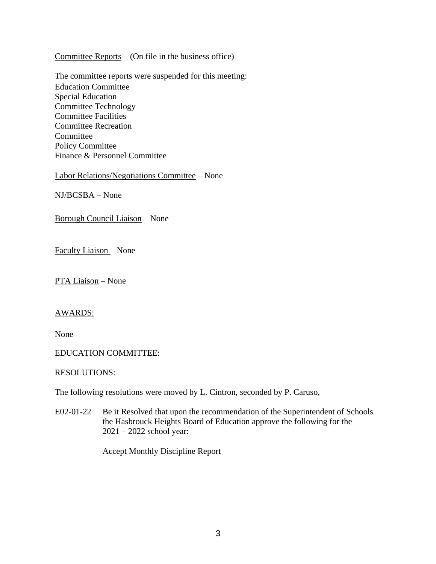Committee Reports – (On file in the business office)

The committee reports were suspended for this meeting: Education Committee Special Education Committee Technology Committee Facilities Committee Recreation Committee Policy Committee Finance & Personnel Committee

Labor Relations/Negotiations Committee – None

NJ/BCSBA – None

Borough Council Liaison – None

Faculty Liaison – None

PTA Liaison – None

#### AWARDS:

None

#### EDUCATION COMMITTEE:

#### RESOLUTIONS:

The following resolutions were moved by L. Cintron, seconded by P. Caruso,

E02-01-22 Be it Resolved that upon the recommendation of the Superintendent of Schools the Hasbrouck Heights Board of Education approve the following for the 2021 – 2022 school year:

Accept Monthly Discipline Report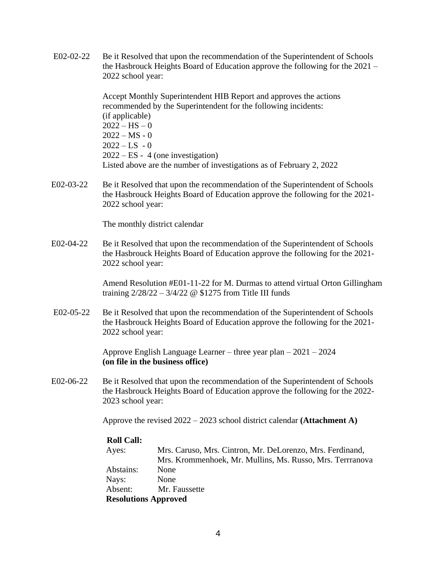E02-02-22 Be it Resolved that upon the recommendation of the Superintendent of Schools the Hasbrouck Heights Board of Education approve the following for the 2021 – 2022 school year:

> Accept Monthly Superintendent HIB Report and approves the actions recommended by the Superintendent for the following incidents: (if applicable)  $2022 - HS - 0$  $2022 - MS - 0$  $2022 - LS - 0$ 2022 – ES - 4 (one investigation) Listed above are the number of investigations as of February 2, 2022

E02-03-22 Be it Resolved that upon the recommendation of the Superintendent of Schools the Hasbrouck Heights Board of Education approve the following for the 2021- 2022 school year:

The monthly district calendar

E02-04-22 Be it Resolved that upon the recommendation of the Superintendent of Schools the Hasbrouck Heights Board of Education approve the following for the 2021- 2022 school year:

> Amend Resolution #E01-11-22 for M. Durmas to attend virtual Orton Gillingham training  $2/28/22 - 3/4/22 \omega$  \$1275 from Title III funds

E02-05-22 Be it Resolved that upon the recommendation of the Superintendent of Schools the Hasbrouck Heights Board of Education approve the following for the 2021- 2022 school year:

> Approve English Language Learner – three year plan – 2021 – 2024 **(on file in the business office)**

E02-06-22 Be it Resolved that upon the recommendation of the Superintendent of Schools the Hasbrouck Heights Board of Education approve the following for the 2022- 2023 school year:

Approve the revised 2022 – 2023 school district calendar **(Attachment A)**

### **Roll Call:**

| Ayes:                       | Mrs. Caruso, Mrs. Cintron, Mr. DeLorenzo, Mrs. Ferdinand, |  |
|-----------------------------|-----------------------------------------------------------|--|
|                             | Mrs. Krommenhoek, Mr. Mullins, Ms. Russo, Mrs. Terrranova |  |
| Abstains:                   | <b>None</b>                                               |  |
| Nays:                       | None                                                      |  |
| Absent:                     | Mr. Faussette                                             |  |
| <b>Resolutions Approved</b> |                                                           |  |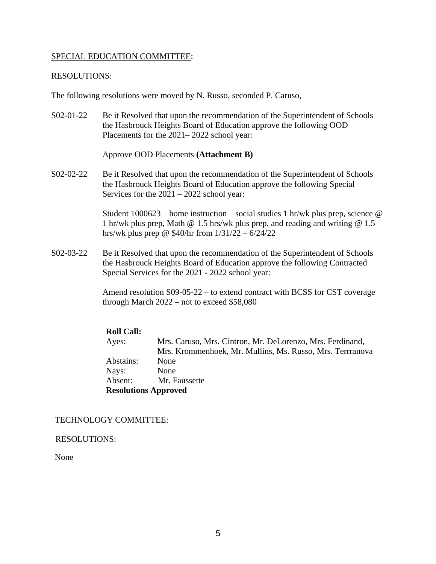### SPECIAL EDUCATION COMMITTEE:

### RESOLUTIONS:

The following resolutions were moved by N. Russo, seconded P. Caruso,

S02-01-22 Be it Resolved that upon the recommendation of the Superintendent of Schools the Hasbrouck Heights Board of Education approve the following OOD Placements for the 2021– 2022 school year:

Approve OOD Placements **(Attachment B)**

S02-02-22 Be it Resolved that upon the recommendation of the Superintendent of Schools the Hasbrouck Heights Board of Education approve the following Special Services for the 2021 – 2022 school year:

> Student  $1000623$  – home instruction – social studies 1 hr/wk plus prep, science  $\omega$ 1 hr/wk plus prep, Math @ 1.5 hrs/wk plus prep, and reading and writing @ 1.5 hrs/wk plus prep @ \$40/hr from 1/31/22 – 6/24/22

S02-03-22 Be it Resolved that upon the recommendation of the Superintendent of Schools the Hasbrouck Heights Board of Education approve the following Contracted Special Services for the 2021 - 2022 school year:

> Amend resolution S09-05-22 – to extend contract with BCSS for CST coverage through March 2022 – not to exceed \$58,080

# **Roll Call:**

Ayes: Mrs. Caruso, Mrs. Cintron, Mr. DeLorenzo, Mrs. Ferdinand, Mrs. Krommenhoek, Mr. Mullins, Ms. Russo, Mrs. Terrranova Abstains: None Nays: None Absent: Mr. Faussette **Resolutions Approved**

### TECHNOLOGY COMMITTEE:

RESOLUTIONS:

None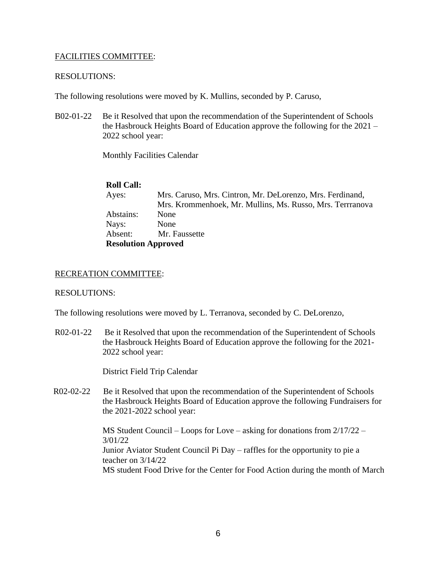### FACILITIES COMMITTEE:

#### RESOLUTIONS:

The following resolutions were moved by K. Mullins, seconded by P. Caruso,

B02-01-22 Be it Resolved that upon the recommendation of the Superintendent of Schools the Hasbrouck Heights Board of Education approve the following for the 2021 – 2022 school year:

Monthly Facilities Calendar

### **Roll Call:**

| Ayes:                      | Mrs. Caruso, Mrs. Cintron, Mr. DeLorenzo, Mrs. Ferdinand, |
|----------------------------|-----------------------------------------------------------|
|                            | Mrs. Krommenhoek, Mr. Mullins, Ms. Russo, Mrs. Terrranova |
| Abstains:                  | <b>None</b>                                               |
| Nays:                      | None                                                      |
| Absent:                    | Mr. Faussette                                             |
| <b>Resolution Approved</b> |                                                           |

#### RECREATION COMMITTEE:

#### RESOLUTIONS:

The following resolutions were moved by L. Terranova, seconded by C. DeLorenzo,

R02-01-22 Be it Resolved that upon the recommendation of the Superintendent of Schools the Hasbrouck Heights Board of Education approve the following for the 2021- 2022 school year:

District Field Trip Calendar

R02-02-22 Be it Resolved that upon the recommendation of the Superintendent of Schools the Hasbrouck Heights Board of Education approve the following Fundraisers for the 2021-2022 school year:

> MS Student Council – Loops for Love – asking for donations from 2/17/22 – 3/01/22 Junior Aviator Student Council Pi Day – raffles for the opportunity to pie a teacher on 3/14/22 MS student Food Drive for the Center for Food Action during the month of March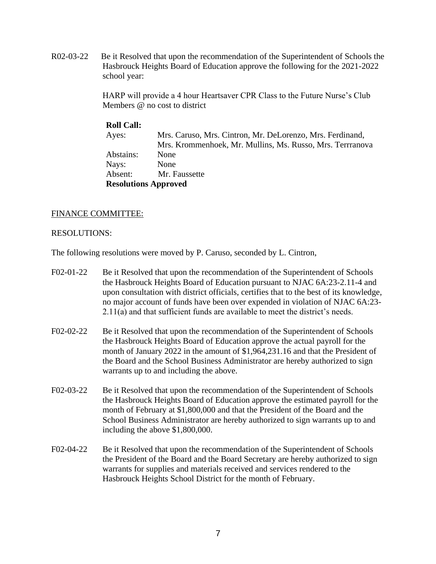R02-03-22 Be it Resolved that upon the recommendation of the Superintendent of Schools the Hasbrouck Heights Board of Education approve the following for the 2021-2022 school year:

> HARP will provide a 4 hour Heartsaver CPR Class to the Future Nurse's Club Members @ no cost to district

# **Roll Call:** Ayes: Mrs. Caruso, Mrs. Cintron, Mr. DeLorenzo, Mrs. Ferdinand, Mrs. Krommenhoek, Mr. Mullins, Ms. Russo, Mrs. Terrranova Abstains: None Nays: None Absent: Mr. Faussette **Resolutions Approved**

## FINANCE COMMITTEE:

#### RESOLUTIONS:

The following resolutions were moved by P. Caruso, seconded by L. Cintron,

- F02-01-22 Be it Resolved that upon the recommendation of the Superintendent of Schools the Hasbrouck Heights Board of Education pursuant to NJAC 6A:23-2.11-4 and upon consultation with district officials, certifies that to the best of its knowledge, no major account of funds have been over expended in violation of NJAC 6A:23- 2.11(a) and that sufficient funds are available to meet the district's needs.
- F02-02-22 Be it Resolved that upon the recommendation of the Superintendent of Schools the Hasbrouck Heights Board of Education approve the actual payroll for the month of January 2022 in the amount of \$1,964,231.16 and that the President of the Board and the School Business Administrator are hereby authorized to sign warrants up to and including the above.
- F02-03-22 Be it Resolved that upon the recommendation of the Superintendent of Schools the Hasbrouck Heights Board of Education approve the estimated payroll for the month of February at \$1,800,000 and that the President of the Board and the School Business Administrator are hereby authorized to sign warrants up to and including the above \$1,800,000.
- F02-04-22 Be it Resolved that upon the recommendation of the Superintendent of Schools the President of the Board and the Board Secretary are hereby authorized to sign warrants for supplies and materials received and services rendered to the Hasbrouck Heights School District for the month of February.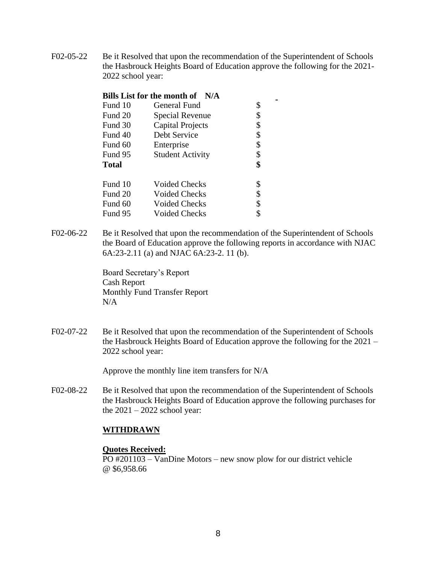F02-05-22 Be it Resolved that upon the recommendation of the Superintendent of Schools the Hasbrouck Heights Board of Education approve the following for the 2021- 2022 school year:

 $\blacksquare$ 

| Bills List for the month of N/A |                         |    |  |  |
|---------------------------------|-------------------------|----|--|--|
| Fund 10                         | General Fund            | \$ |  |  |
| Fund 20                         | Special Revenue         | \$ |  |  |
| Fund 30                         | <b>Capital Projects</b> | \$ |  |  |
| Fund 40                         | Debt Service            | \$ |  |  |
| Fund 60                         | Enterprise              | \$ |  |  |
| Fund 95                         | <b>Student Activity</b> | \$ |  |  |
| <b>Total</b>                    |                         | \$ |  |  |
| Fund 10                         | Voided Checks           | \$ |  |  |
| Fund 20                         | Voided Checks           | \$ |  |  |
| Fund 60                         | <b>Voided Checks</b>    | \$ |  |  |
| Fund 95                         | <b>Voided Checks</b>    |    |  |  |

F02-06-22 Be it Resolved that upon the recommendation of the Superintendent of Schools the Board of Education approve the following reports in accordance with NJAC 6A:23-2.11 (a) and NJAC 6A:23-2. 11 (b).

> Board Secretary's Report Cash Report Monthly Fund Transfer Report N/A

F02-07-22 Be it Resolved that upon the recommendation of the Superintendent of Schools the Hasbrouck Heights Board of Education approve the following for the 2021 – 2022 school year:

Approve the monthly line item transfers for N/A

F02-08-22 Be it Resolved that upon the recommendation of the Superintendent of Schools the Hasbrouck Heights Board of Education approve the following purchases for the  $2021 - 2022$  school year:

### **WITHDRAWN**

#### **Quotes Received:**

PO #201103 – VanDine Motors – new snow plow for our district vehicle @ \$6,958.66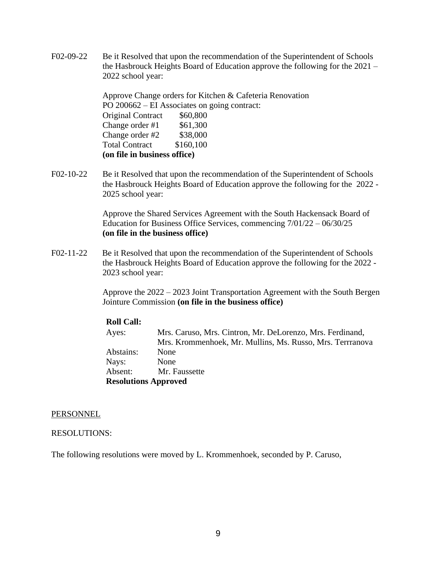F02-09-22 Be it Resolved that upon the recommendation of the Superintendent of Schools the Hasbrouck Heights Board of Education approve the following for the 2021 – 2022 school year:

> Approve Change orders for Kitchen & Cafeteria Renovation PO 200662 – EI Associates on going contract: Original Contract \$60,800 Change order  $\#1$  \$61,300 Change order  $\#2$  \$38,000 Total Contract \$160,100 **(on file in business office)**

F02-10-22 Be it Resolved that upon the recommendation of the Superintendent of Schools the Hasbrouck Heights Board of Education approve the following for the 2022 - 2025 school year:

> Approve the Shared Services Agreement with the South Hackensack Board of Education for Business Office Services, commencing 7/01/22 – 06/30/25 **(on file in the business office)**

F02-11-22 Be it Resolved that upon the recommendation of the Superintendent of Schools the Hasbrouck Heights Board of Education approve the following for the 2022 - 2023 school year:

> Approve the 2022 – 2023 Joint Transportation Agreement with the South Bergen Jointure Commission **(on file in the business office)**

### **Roll Call:**

Ayes: Mrs. Caruso, Mrs. Cintron, Mr. DeLorenzo, Mrs. Ferdinand, Mrs. Krommenhoek, Mr. Mullins, Ms. Russo, Mrs. Terrranova Abstains: None Nays: None Absent: Mr. Faussette **Resolutions Approved**

#### PERSONNEL

### RESOLUTIONS:

The following resolutions were moved by L. Krommenhoek, seconded by P. Caruso,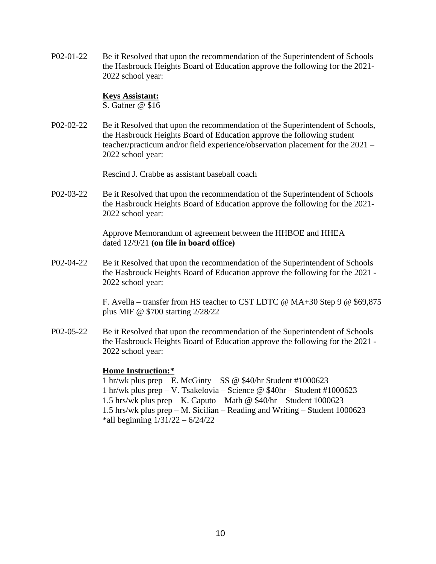P02-01-22 Be it Resolved that upon the recommendation of the Superintendent of Schools the Hasbrouck Heights Board of Education approve the following for the 2021- 2022 school year:

#### **Keys Assistant:**

S. Gafner @ \$16

P02-02-22 Be it Resolved that upon the recommendation of the Superintendent of Schools, the Hasbrouck Heights Board of Education approve the following student teacher/practicum and/or field experience/observation placement for the 2021 – 2022 school year:

Rescind J. Crabbe as assistant baseball coach

P02-03-22 Be it Resolved that upon the recommendation of the Superintendent of Schools the Hasbrouck Heights Board of Education approve the following for the 2021- 2022 school year:

> Approve Memorandum of agreement between the HHBOE and HHEA dated 12/9/21 **(on file in board office)**

P02-04-22 Be it Resolved that upon the recommendation of the Superintendent of Schools the Hasbrouck Heights Board of Education approve the following for the 2021 - 2022 school year:

> F. Avella – transfer from HS teacher to CST LDTC @ MA+30 Step 9 @ \$69,875 plus MIF @ \$700 starting 2/28/22

P02-05-22 Be it Resolved that upon the recommendation of the Superintendent of Schools the Hasbrouck Heights Board of Education approve the following for the 2021 - 2022 school year:

#### **Home Instruction:\***

1 hr/wk plus prep – E. McGinty – SS @  $$40/hr$  Student #1000623 1 hr/wk plus prep – V. Tsakelovia – Science @ \$40hr – Student #1000623 1.5 hrs/wk plus prep – K. Caputo – Math @  $$40/hr - Student 1000623$ 1.5 hrs/wk plus prep – M. Sicilian – Reading and Writing – Student 1000623 \*all beginning 1/31/22 – 6/24/22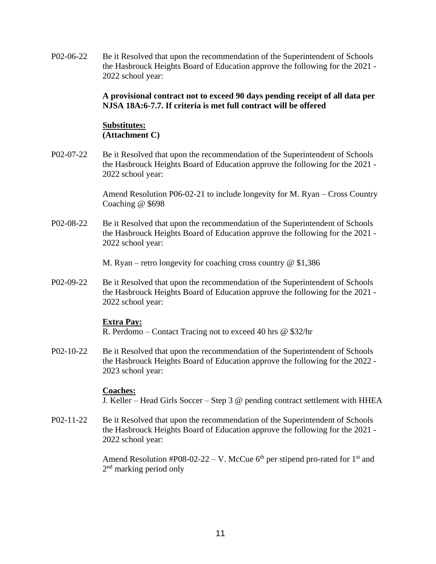P02-06-22 Be it Resolved that upon the recommendation of the Superintendent of Schools the Hasbrouck Heights Board of Education approve the following for the 2021 - 2022 school year:

## **A provisional contract not to exceed 90 days pending receipt of all data per NJSA 18A:6-7.7. If criteria is met full contract will be offered**

# **Substitutes: (Attachment C)**

P02-07-22 Be it Resolved that upon the recommendation of the Superintendent of Schools the Hasbrouck Heights Board of Education approve the following for the 2021 - 2022 school year:

> Amend Resolution P06-02-21 to include longevity for M. Ryan – Cross Country Coaching @ \$698

P02-08-22 Be it Resolved that upon the recommendation of the Superintendent of Schools the Hasbrouck Heights Board of Education approve the following for the 2021 - 2022 school year:

M. Ryan – retro longevity for coaching cross country  $\omega$  \$1,386

P02-09-22 Be it Resolved that upon the recommendation of the Superintendent of Schools the Hasbrouck Heights Board of Education approve the following for the 2021 - 2022 school year:

### **Extra Pay:**

R. Perdomo – Contact Tracing not to exceed 40 hrs @ \$32/hr

P02-10-22 Be it Resolved that upon the recommendation of the Superintendent of Schools the Hasbrouck Heights Board of Education approve the following for the 2022 - 2023 school year:

### **Coaches:**

J. Keller – Head Girls Soccer – Step 3 @ pending contract settlement with HHEA

P02-11-22 Be it Resolved that upon the recommendation of the Superintendent of Schools the Hasbrouck Heights Board of Education approve the following for the 2021 - 2022 school year:

> Amend Resolution #P08-02-22 – V. McCue  $6<sup>th</sup>$  per stipend pro-rated for 1<sup>st</sup> and 2<sup>nd</sup> marking period only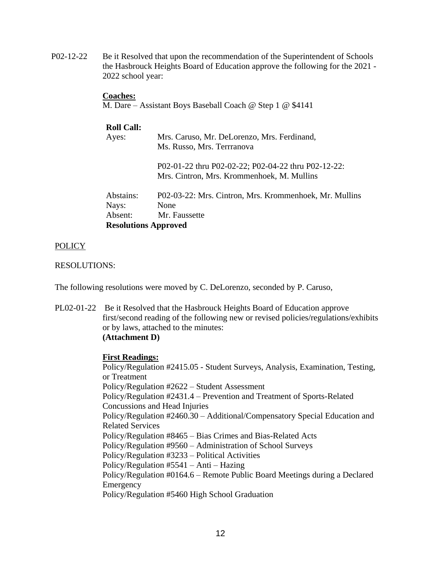P02-12-22 Be it Resolved that upon the recommendation of the Superintendent of Schools the Hasbrouck Heights Board of Education approve the following for the 2021 - 2022 school year:

#### **Coaches:**

M. Dare – Assistant Boys Baseball Coach @ Step 1 @ \$4141

# **Roll Call:** Ayes: Mrs. Caruso, Mr. DeLorenzo, Mrs. Ferdinand, Ms. Russo, Mrs. Terrranova P02-01-22 thru P02-02-22; P02-04-22 thru P02-12-22: Mrs. Cintron, Mrs. Krommenhoek, M. Mullins Abstains: P02-03-22: Mrs. Cintron, Mrs. Krommenhoek, Mr. Mullins Nays: None Absent: Mr. Faussette **Resolutions Approved**

### **POLICY**

RESOLUTIONS:

The following resolutions were moved by C. DeLorenzo, seconded by P. Caruso,

PL02-01-22 Be it Resolved that the Hasbrouck Heights Board of Education approve first/second reading of the following new or revised policies/regulations/exhibits or by laws, attached to the minutes: **(Attachment D)**

#### **First Readings:**

Policy/Regulation #2415.05 - Student Surveys, Analysis, Examination, Testing, or Treatment Policy/Regulation #2622 – Student Assessment Policy/Regulation #2431.4 – Prevention and Treatment of Sports-Related Concussions and Head Injuries Policy/Regulation #2460.30 – Additional/Compensatory Special Education and Related Services Policy/Regulation #8465 – Bias Crimes and Bias-Related Acts Policy/Regulation #9560 – Administration of School Surveys Policy/Regulation #3233 – Political Activities Policy/Regulation #5541 – Anti – Hazing Policy/Regulation #0164.6 – Remote Public Board Meetings during a Declared Emergency Policy/Regulation #5460 High School Graduation